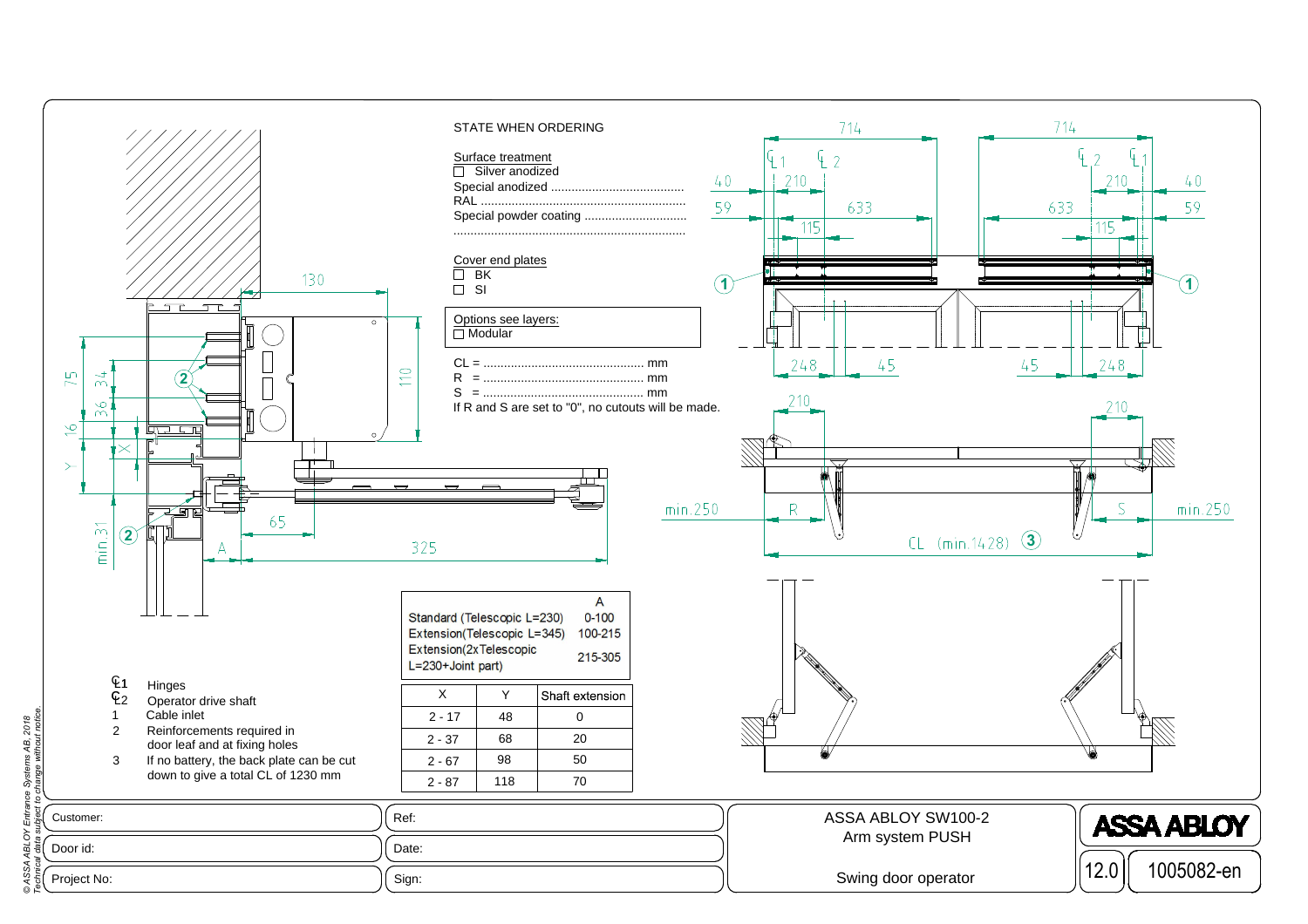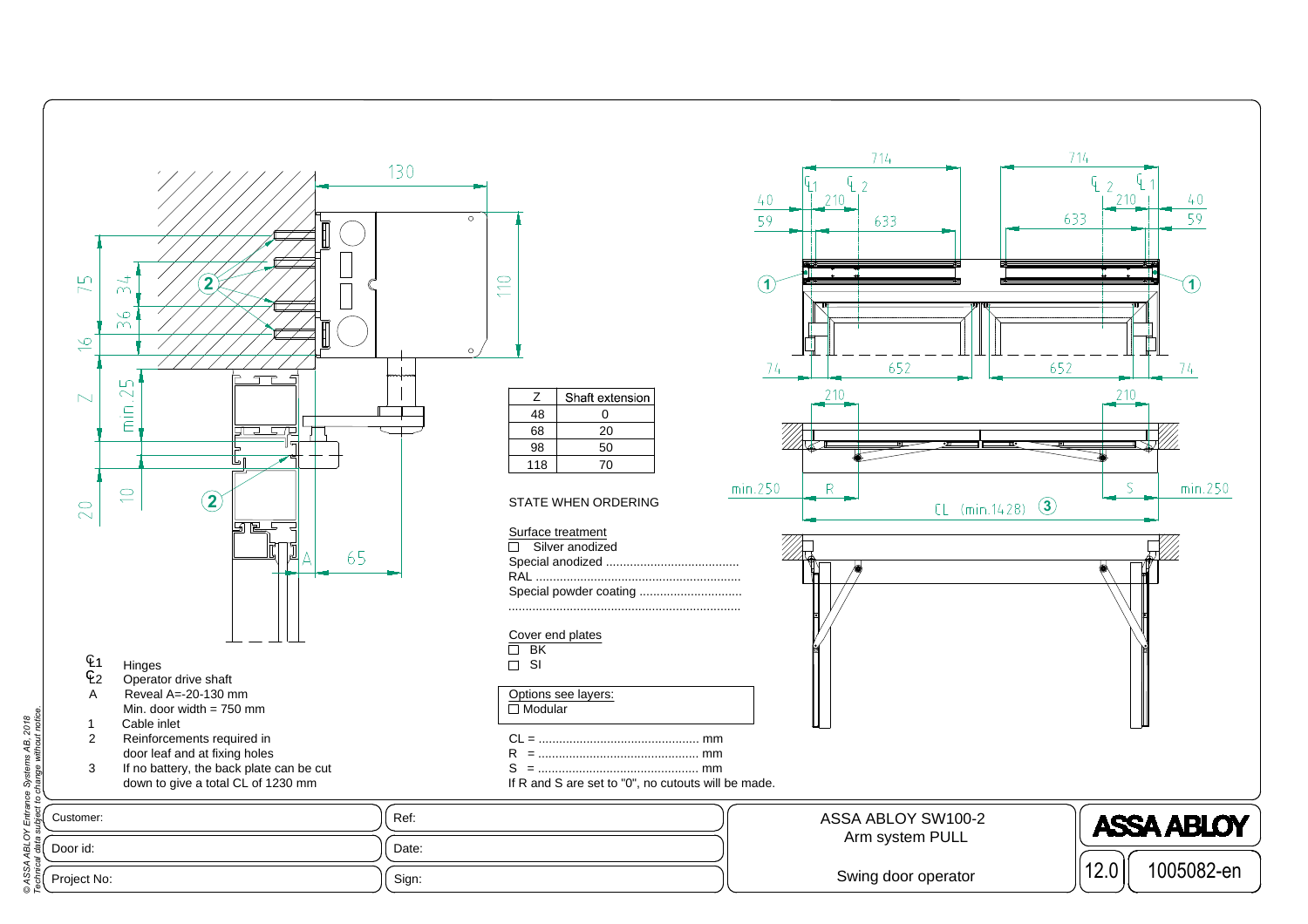